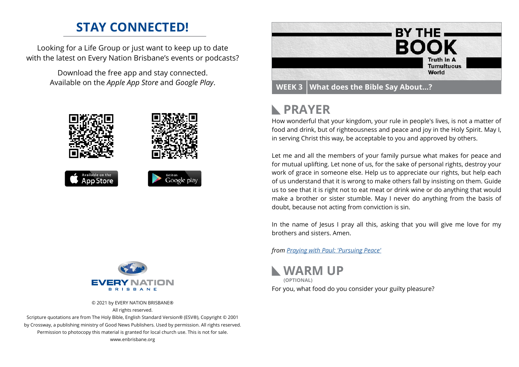## **STAY CONNECTED!**

Looking for a Life Group or just want to keep up to date with the latest on Every Nation Brisbane's events or podcasts?

> Download the free app and stay connected. Available on the *Apple App Store* and *Google Play*.





© 2021 by EVERY NATION BRISBANE® All rights reserved.

Scripture quotations are from The Holy Bible, English Standard Version® (ESV®), Copyright © 2001 by Crossway, a publishing ministry of Good News Publishers. Used by permission. All rights reserved. Permission to photocopy this material is granted for local church use. This is not for sale. www.enbrisbane.org



## **PRAYER**

How wonderful that your kingdom, your rule in people's lives, is not a matter of food and drink, but of righteousness and peace and joy in the Holy Spirit. May I, in serving Christ this way, be acceptable to you and approved by others.

Let me and all the members of your family pursue what makes for peace and for mutual uplifting. Let none of us, for the sake of personal rights, destroy your work of grace in someone else. Help us to appreciate our rights, but help each of us understand that it is wrong to make others fall by insisting on them. Guide us to see that it is right not to eat meat or drink wine or do anything that would make a brother or sister stumble. May I never do anything from the basis of doubt, because not acting from conviction is sin.

In the name of Jesus I pray all this, asking that you will give me love for my brothers and sisters. Amen.

*from [Praying with Paul: 'Pursuing Peace'](https://www.heartlight.org/)*

**WARM UP** For you, what food do you consider your guilty pleasure? **(OPTIONAL)**